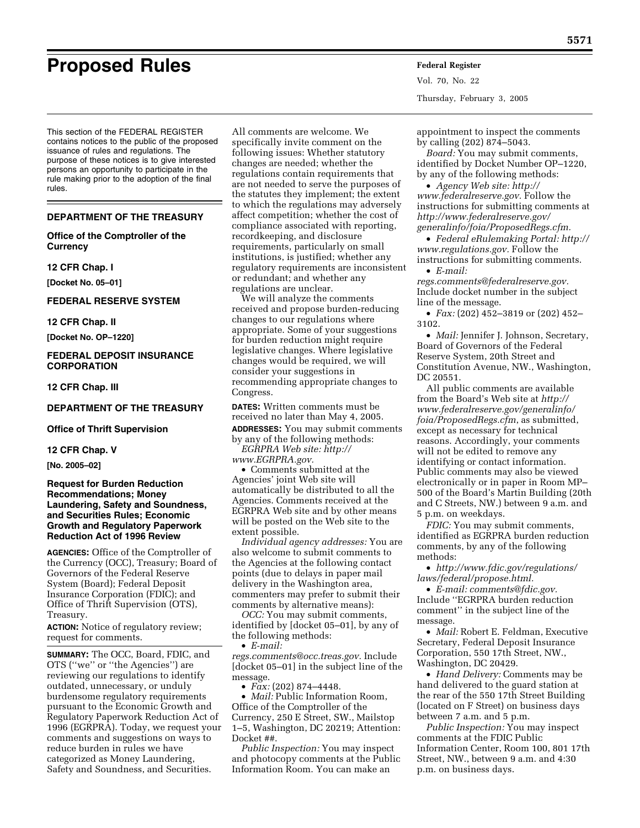# **Proposed Rules Federal Register**

This section of the FEDERAL REGISTER contains notices to the public of the proposed issuance of rules and regulations. The purpose of these notices is to give interested persons an opportunity to participate in the rule making prior to the adoption of the final rules.

### **DEPARTMENT OF THE TREASURY**

### **Office of the Comptroller of the Currency**

### **12 CFR Chap. I**

**[Docket No. 05–01]** 

### **FEDERAL RESERVE SYSTEM**

### **12 CFR Chap. II**

**[Docket No. OP–1220]** 

### **FEDERAL DEPOSIT INSURANCE CORPORATION**

### **12 CFR Chap. III**

### **DEPARTMENT OF THE TREASURY**

**Office of Thrift Supervision** 

### **12 CFR Chap. V**

**[No. 2005–02]** 

### **Request for Burden Reduction Recommendations; Money Laundering, Safety and Soundness, and Securities Rules; Economic Growth and Regulatory Paperwork Reduction Act of 1996 Review**

**AGENCIES:** Office of the Comptroller of the Currency (OCC), Treasury; Board of Governors of the Federal Reserve System (Board); Federal Deposit Insurance Corporation (FDIC); and Office of Thrift Supervision (OTS), Treasury.

**ACTION:** Notice of regulatory review; request for comments.

**SUMMARY:** The OCC, Board, FDIC, and OTS (''we'' or ''the Agencies'') are reviewing our regulations to identify outdated, unnecessary, or unduly burdensome regulatory requirements pursuant to the Economic Growth and Regulatory Paperwork Reduction Act of 1996 (EGRPRA). Today, we request your comments and suggestions on ways to reduce burden in rules we have categorized as Money Laundering, Safety and Soundness, and Securities.

All comments are welcome. We specifically invite comment on the following issues: Whether statutory changes are needed; whether the regulations contain requirements that are not needed to serve the purposes of the statutes they implement; the extent to which the regulations may adversely affect competition; whether the cost of compliance associated with reporting, recordkeeping, and disclosure requirements, particularly on small institutions, is justified; whether any regulatory requirements are inconsistent or redundant; and whether any regulations are unclear.

We will analyze the comments received and propose burden-reducing changes to our regulations where appropriate. Some of your suggestions for burden reduction might require legislative changes. Where legislative changes would be required, we will consider your suggestions in recommending appropriate changes to Congress.

**DATES:** Written comments must be received no later than May 4, 2005. **ADDRESSES:** You may submit comments by any of the following methods:

*[EGRPRA Web site: http://](http://www.EGRPRA.gov) www.EGRPRA.gov.*

• Comments submitted at the Agencies' joint Web site will automatically be distributed to all the Agencies. Comments received at the EGRPRA Web site and by other means will be posted on the Web site to the extent possible.

*Individual agency addresses:* You are also welcome to submit comments to the Agencies at the following contact points (due to delays in paper mail delivery in the Washington area, commenters may prefer to submit their comments by alternative means):

*OCC:* You may submit comments, identified by [docket 05–01], by any of the following methods:

• *E-mail:* 

*[regs.comments@occ.treas.gov.](mailto:regs.comments@occ.treas.gov)* Include [docket 05–01] in the subject line of the message.

• *Fax:* (202) 874–4448.

• *Mail:* Public Information Room, Office of the Comptroller of the Currency, 250 E Street, SW., Mailstop 1–5, Washington, DC 20219; Attention: Docket ##.

*Public Inspection:* You may inspect and photocopy comments at the Public Information Room. You can make an

Vol. 70, No. 22 Thursday, February 3, 2005

appointment to inspect the comments by calling (202) 874–5043.

*Board:* You may submit comments, identified by Docket Number OP–1220, by any of the following methods:

• *Agency Web site: http:// [www.federalreserve.gov.](http://www.federalreserve.gov)* Follow the instructions for submitting comments at *http://www.federalreserve.gov/ [generalinfo/foia/ProposedRegs.cfm.](http://www.federalreserve.gov/generalinfo/foia/ProposedRegs.cfm)*

• *[Federal eRulemaking Portal: http://](http://www.regulations.gov) www.regulations.gov.* Follow the instructions for submitting comments.

• *E-mail:* 

*[regs.comments@federalreserve.gov.](mailto:regs.comments@occ.treas.gov)* Include docket number in the subject line of the message.

• *Fax:* (202) 452–3819 or (202) 452– 3102.

• *Mail:* Jennifer J. Johnson, Secretary, Board of Governors of the Federal Reserve System, 20th Street and Constitution Avenue, NW., Washington, DC 20551.

All public comments are available from the Board's Web site at *http:// [www.federalreserve.gov/generalinfo/](http://www.federalreserve.gov/generalinfo/foia/ProposedRegs.cfm) foia/ProposedRegs.cfm*, as submitted, except as necessary for technical reasons. Accordingly, your comments will not be edited to remove any identifying or contact information. Public comments may also be viewed electronically or in paper in Room MP– 500 of the Board's Martin Building (20th and C Streets, NW.) between 9 a.m. and 5 p.m. on weekdays.

*FDIC:* You may submit comments, identified as EGRPRA burden reduction comments, by any of the following methods:

• *[http://www.fdic.gov/regulations/](http://www.fdic.gov/regulations/laws/federal/propose.html) laws/federal/propose.html.*

• *[E-mail: comments@fdic.gov.](mailto:regs.comments@occ.treas.gov)* Include ''EGRPRA burden reduction comment'' in the subject line of the message.

• *Mail:* Robert E. Feldman, Executive Secretary, Federal Deposit Insurance Corporation, 550 17th Street, NW., Washington, DC 20429.

• *Hand Delivery:* Comments may be hand delivered to the guard station at the rear of the 550 17th Street Building (located on F Street) on business days between 7 a.m. and 5 p.m.

*Public Inspection:* You may inspect comments at the FDIC Public Information Center, Room 100, 801 17th Street, NW., between 9 a.m. and 4:30 p.m. on business days.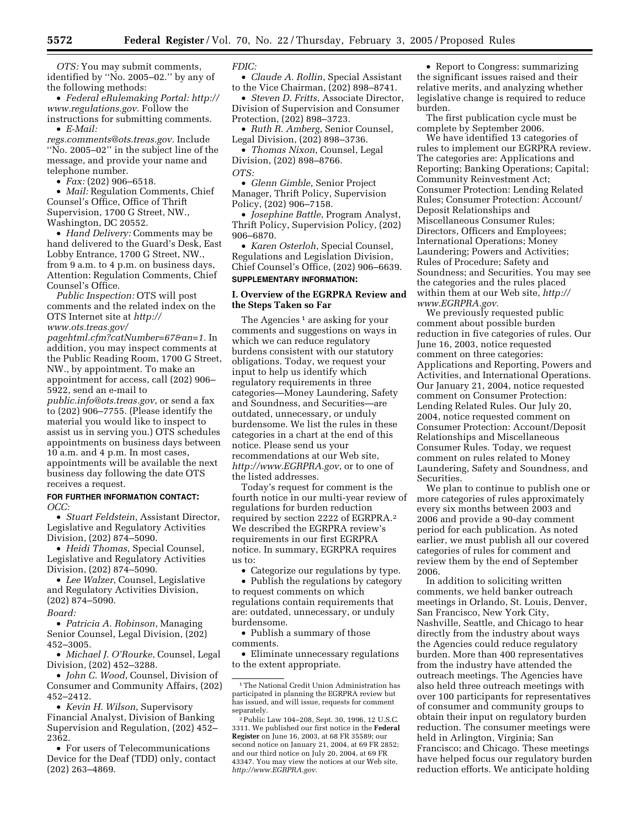*OTS:* You may submit comments, identified by ''No. 2005–02.'' by any of the following methods:

• *[Federal eRulemaking Portal: http://](http://www.regulations.gov) www.regulations.gov.* Follow the instructions for submitting comments. • *E-Mail:* 

*[regs.comments@ots.treas.gov.](mailto:regs.comments@occ.treas.gov)* Include ''No. 2005–02'' in the subject line of the message, and provide your name and telephone number.

• *Fax:* (202) 906–6518.

• *Mail:* Regulation Comments, Chief Counsel's Office, Office of Thrift Supervision, 1700 G Street, NW., Washington, DC 20552.

• *Hand Delivery:* Comments may be hand delivered to the Guard's Desk, East Lobby Entrance, 1700 G Street, NW., from 9 a.m. to 4 p.m. on business days, Attention: Regulation Comments, Chief Counsel's Office.

*Public Inspection:* OTS will post comments and the related index on the OTS Internet site at *http:// www.ots.treas.gov/*

*[pagehtml.cfm?catNumber=67&an=1.](http://www.ots.treas.gov/pagehtml.cfm?catNumber=67&an=1)* In addition, you may inspect comments at the Public Reading Room, 1700 G Street, NW., by appointment. To make an appointment for access, call (202) 906– 5922, send an e-mail to

*[public.info@ots.treas.gov](mailto:public.info@ots.treas.gov)*, or send a fax to (202) 906–7755. (Please identify the material you would like to inspect to assist us in serving you.) OTS schedules appointments on business days between 10 a.m. and 4 p.m. In most cases, appointments will be available the next business day following the date OTS receives a request.

### **FOR FURTHER INFORMATION CONTACT:**  *OCC:*

• *Stuart Feldstein*, Assistant Director, Legislative and Regulatory Activities Division, (202) 874–5090.

• *Heidi Thomas*, Special Counsel, Legislative and Regulatory Activities Division, (202) 874–5090.

• *Lee Walzer*, Counsel, Legislative and Regulatory Activities Division, (202) 874–5090.

*Board:*

• *Patricia A. Robinson*, Managing Senior Counsel, Legal Division, (202) 452–3005.

• *Michael J. O'Rourke*, Counsel, Legal Division, (202) 452–3288.

• *John C. Wood*, Counsel, Division of Consumer and Community Affairs, (202) 452–2412.

• *Kevin H. Wilson*, Supervisory Financial Analyst, Division of Banking Supervision and Regulation, (202) 452– 2362.

• For users of Telecommunications Device for the Deaf (TDD) only, contact (202) 263–4869.

### *FDIC:*

• *Claude A. Rollin*, Special Assistant to the Vice Chairman, (202) 898–8741.

• *Steven D. Fritts*, Associate Director, Division of Supervision and Consumer Protection, (202) 898–3723.

• *Ruth R. Amberg*, Senior Counsel, Legal Division, (202) 898–3736.

• *Thomas Nixon*, Counsel, Legal Division, (202) 898–8766. *OTS:*

• *Glenn Gimble*, Senior Project Manager, Thrift Policy, Supervision Policy, (202) 906–7158.

• *Josephine Battle*, Program Analyst, Thrift Policy, Supervision Policy, (202) 906–6870.

• *Karen Osterloh*, Special Counsel, Regulations and Legislation Division, Chief Counsel's Office, (202) 906–6639. **SUPPLEMENTARY INFORMATION:** 

### **I. Overview of the EGRPRA Review and the Steps Taken so Far**

The Agencies<sup>1</sup> are asking for your comments and suggestions on ways in which we can reduce regulatory burdens consistent with our statutory obligations. Today, we request your input to help us identify which regulatory requirements in three categories—Money Laundering, Safety and Soundness, and Securities—are outdated, unnecessary, or unduly burdensome. We list the rules in these categories in a chart at the end of this notice. Please send us your recommendations at our Web site, *<http://www.EGRPRA.gov>*, or to one of the listed addresses.

Today's request for comment is the fourth notice in our multi-year review of regulations for burden reduction required by section 2222 of EGRPRA.2 We described the EGRPRA review's requirements in our first EGRPRA notice. In summary, EGRPRA requires us to:

• Categorize our regulations by type.

• Publish the regulations by category to request comments on which regulations contain requirements that are: outdated, unnecessary, or unduly burdensome.

• Publish a summary of those comments.

• Eliminate unnecessary regulations to the extent appropriate.

• Report to Congress: summarizing the significant issues raised and their relative merits, and analyzing whether legislative change is required to reduce burden.

The first publication cycle must be complete by September 2006.

We have identified 13 categories of rules to implement our EGRPRA review. The categories are: Applications and Reporting; Banking Operations; Capital; Community Reinvestment Act; Consumer Protection: Lending Related Rules; Consumer Protection: Account/ Deposit Relationships and Miscellaneous Consumer Rules; Directors, Officers and Employees; International Operations; Money Laundering; Powers and Activities; Rules of Procedure; Safety and Soundness; and Securities. You may see the categories and the rules placed [within them at our Web site,](http://www.EGRPRA.gov) *http:// www.EGRPRA.gov.*

We previously requested public comment about possible burden reduction in five categories of rules. Our June 16, 2003, notice requested comment on three categories: Applications and Reporting, Powers and Activities, and International Operations. Our January 21, 2004, notice requested comment on Consumer Protection: Lending Related Rules. Our July 20, 2004, notice requested comment on Consumer Protection: Account/Deposit Relationships and Miscellaneous Consumer Rules. Today, we request comment on rules related to Money Laundering, Safety and Soundness, and Securities.

We plan to continue to publish one or more categories of rules approximately every six months between 2003 and 2006 and provide a 90-day comment period for each publication. As noted earlier, we must publish all our covered categories of rules for comment and review them by the end of September 2006.

In addition to soliciting written comments, we held banker outreach meetings in Orlando, St. Louis, Denver, San Francisco, New York City, Nashville, Seattle, and Chicago to hear directly from the industry about ways the Agencies could reduce regulatory burden. More than 400 representatives from the industry have attended the outreach meetings. The Agencies have also held three outreach meetings with over 100 participants for representatives of consumer and community groups to obtain their input on regulatory burden reduction. The consumer meetings were held in Arlington, Virginia; San Francisco; and Chicago. These meetings have helped focus our regulatory burden reduction efforts. We anticipate holding

<sup>1</sup>The National Credit Union Administration has participated in planning the EGRPRA review but has issued, and will issue, requests for comment separately.

<sup>2</sup>Public Law 104–208, Sept. 30, 1996, 12 U.S.C. 3311. We published our first notice in the **Federal Register** on June 16, 2003, at 68 FR 35589; our second notice on January 21, 2004, at 69 FR 2852; and our third notice on July 20, 2004, at 69 FR 43347. You may view the notices at our Web site, *<http://www.EGRPRA.gov>*.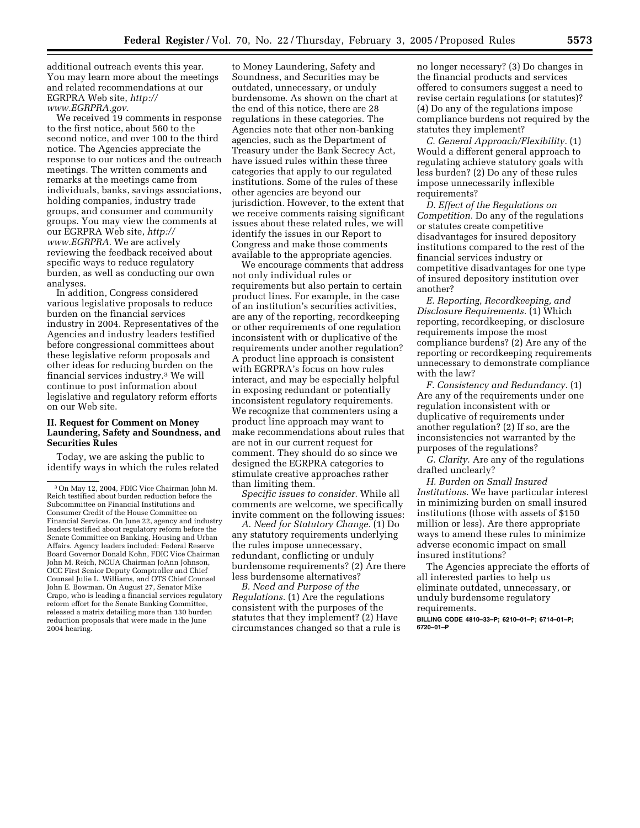additional outreach events this year. You may learn more about the meetings and related recommendations at our [EGRPRA Web site,](http://www.EGRPRA.gov) *http:// www.EGRPRA.gov*.

We received 19 comments in response to the first notice, about 560 to the second notice, and over 100 to the third notice. The Agencies appreciate the response to our notices and the outreach meetings. The written comments and remarks at the meetings came from individuals, banks, savings associations, holding companies, industry trade groups, and consumer and community groups. You may view the comments at [our EGRPRA Web site,](http://www.EGRPRA) *http:// www.EGRPRA*. We are actively reviewing the feedback received about specific ways to reduce regulatory burden, as well as conducting our own analyses.

In addition, Congress considered various legislative proposals to reduce burden on the financial services industry in 2004. Representatives of the Agencies and industry leaders testified before congressional committees about these legislative reform proposals and other ideas for reducing burden on the financial services industry.3 We will continue to post information about legislative and regulatory reform efforts on our Web site.

### **II. Request for Comment on Money Laundering, Safety and Soundness, and Securities Rules**

Today, we are asking the public to identify ways in which the rules related

to Money Laundering, Safety and Soundness, and Securities may be outdated, unnecessary, or unduly burdensome. As shown on the chart at the end of this notice, there are 28 regulations in these categories. The Agencies note that other non-banking agencies, such as the Department of Treasury under the Bank Secrecy Act, have issued rules within these three categories that apply to our regulated institutions. Some of the rules of these other agencies are beyond our jurisdiction. However, to the extent that we receive comments raising significant issues about these related rules, we will identify the issues in our Report to Congress and make those comments available to the appropriate agencies.

We encourage comments that address not only individual rules or requirements but also pertain to certain product lines. For example, in the case of an institution's securities activities, are any of the reporting, recordkeeping or other requirements of one regulation inconsistent with or duplicative of the requirements under another regulation? A product line approach is consistent with EGRPRA's focus on how rules interact, and may be especially helpful in exposing redundant or potentially inconsistent regulatory requirements. We recognize that commenters using a product line approach may want to make recommendations about rules that are not in our current request for comment. They should do so since we designed the EGRPRA categories to stimulate creative approaches rather than limiting them.

*Specific issues to consider.* While all comments are welcome, we specifically invite comment on the following issues:

*A. Need for Statutory Change.* (1) Do any statutory requirements underlying the rules impose unnecessary, redundant, conflicting or unduly burdensome requirements? (2) Are there less burdensome alternatives?

*B. Need and Purpose of the Regulations.* (1) Are the regulations consistent with the purposes of the statutes that they implement? (2) Have circumstances changed so that a rule is no longer necessary? (3) Do changes in the financial products and services offered to consumers suggest a need to revise certain regulations (or statutes)? (4) Do any of the regulations impose compliance burdens not required by the statutes they implement?

*C. General Approach/Flexibility.* (1) Would a different general approach to regulating achieve statutory goals with less burden? (2) Do any of these rules impose unnecessarily inflexible requirements?

*D. Effect of the Regulations on Competition.* Do any of the regulations or statutes create competitive disadvantages for insured depository institutions compared to the rest of the financial services industry or competitive disadvantages for one type of insured depository institution over another?

*E. Reporting, Recordkeeping, and Disclosure Requirements.* (1) Which reporting, recordkeeping, or disclosure requirements impose the most compliance burdens? (2) Are any of the reporting or recordkeeping requirements unnecessary to demonstrate compliance with the law?

*F. Consistency and Redundancy.* (1) Are any of the requirements under one regulation inconsistent with or duplicative of requirements under another regulation? (2) If so, are the inconsistencies not warranted by the purposes of the regulations?

*G. Clarity.* Are any of the regulations drafted unclearly?

*H. Burden on Small Insured Institutions.* We have particular interest in minimizing burden on small insured institutions (those with assets of \$150 million or less). Are there appropriate ways to amend these rules to minimize adverse economic impact on small insured institutions?

The Agencies appreciate the efforts of all interested parties to help us eliminate outdated, unnecessary, or unduly burdensome regulatory requirements.

**BILLING CODE 4810–33–P; 6210–01–P; 6714–01–P; 6720–01–P**

<sup>3</sup>On May 12, 2004, FDIC Vice Chairman John M. Reich testified about burden reduction before the Subcommittee on Financial Institutions and Consumer Credit of the House Committee on Financial Services. On June 22, agency and industry leaders testified about regulatory reform before the Senate Committee on Banking, Housing and Urban Affairs. Agency leaders included: Federal Reserve Board Governor Donald Kohn, FDIC Vice Chairman John M. Reich, NCUA Chairman JoAnn Johnson, OCC First Senior Deputy Comptroller and Chief Counsel Julie L. Williams, and OTS Chief Counsel John E. Bowman. On August 27, Senator Mike Crapo, who is leading a financial services regulatory reform effort for the Senate Banking Committee, released a matrix detailing more than 130 burden reduction proposals that were made in the June 2004 hearing.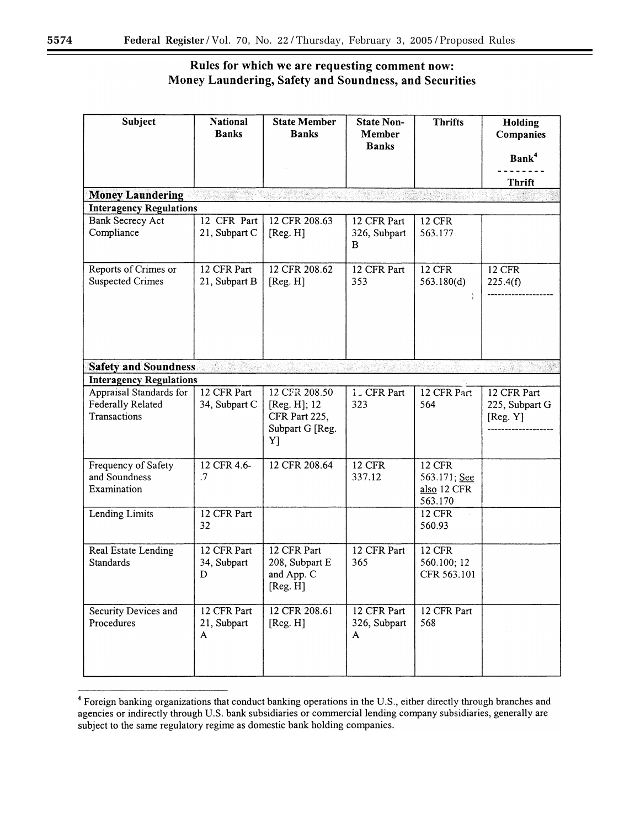# Rules for which we are requesting comment now: Money Laundering, Safety and Soundness, and Securities

| <b>Subject</b>                                               | <b>National</b><br><b>Banks</b> | <b>State Member</b><br><b>Banks</b>                                     | <b>State Non-</b><br><b>Member</b><br><b>Banks</b> | <b>Thrifts</b>                                          | Holding<br>Companies<br>Bank <sup>4</sup> |  |
|--------------------------------------------------------------|---------------------------------|-------------------------------------------------------------------------|----------------------------------------------------|---------------------------------------------------------|-------------------------------------------|--|
| <b>Money Laundering</b>                                      |                                 | ting and                                                                |                                                    |                                                         | <b>Thrift</b>                             |  |
| <b>Interagency Regulations</b>                               |                                 |                                                                         |                                                    |                                                         |                                           |  |
| <b>Bank Secrecy Act</b><br>Compliance                        | 12 CFR Part<br>21, Subpart C    | 12 CFR 208.63<br>[Reg. H]                                               | 12 CFR Part<br>326, Subpart<br>B                   | <b>12 CFR</b><br>563.177                                |                                           |  |
| Reports of Crimes or<br><b>Suspected Crimes</b>              | 12 CFR Part<br>21, Subpart B    | 12 CFR 208.62<br>[Reg. H]                                               | 12 CFR Part<br>353                                 | <b>12 CFR</b><br>563.180(d)                             | <b>12 CFR</b><br>225.4(f)                 |  |
| <b>Safety and Soundness</b>                                  |                                 |                                                                         |                                                    |                                                         |                                           |  |
| <b>Interagency Regulations</b>                               |                                 |                                                                         |                                                    |                                                         |                                           |  |
| Appraisal Standards for<br>Federally Related<br>Transactions | 12 CFR Part<br>34, Subpart C    | 12 CFR 208.50<br>[Reg. H]; 12<br>CFR Part 225,<br>Subpart G [Reg.<br>Y] | 1. CFR Part<br>323                                 | 12 CFR Part<br>564                                      | 12 CFR Part<br>225, Subpart G<br>[Reg. Y] |  |
| Frequency of Safety<br>and Soundness<br>Examination          | 12 CFR 4.6-<br>.7               | 12 CFR 208.64                                                           | <b>12 CFR</b><br>337.12                            | <b>12 CFR</b><br>563.171; See<br>also 12 CFR<br>563.170 |                                           |  |
| Lending Limits                                               | 12 CFR Part<br>32               |                                                                         |                                                    | <b>12 CFR</b><br>560.93                                 |                                           |  |
| Real Estate Lending<br><b>Standards</b>                      | 12 CFR Part<br>34, Subpart<br>D | 12 CFR Part<br>208, Subpart E<br>and App. C<br>[Reg. H]                 | 12 CFR Part<br>365                                 | <b>12 CFR</b><br>560.100; 12<br>CFR 563.101             |                                           |  |
| Security Devices and<br>Procedures                           | 12 CFR Part<br>21, Subpart<br>A | 12 CFR 208.61<br>[Reg. H]                                               | 12 CFR Part<br>326, Subpart<br>A                   | 12 CFR Part<br>568                                      |                                           |  |

<sup>&</sup>lt;sup>4</sup> Foreign banking organizations that conduct banking operations in the U.S., either directly through branches and agencies or indirectly through U.S. bank subsidiaries or commercial lending company subsidiaries, generally are subject to the same regulatory regime as domestic bank holding companies.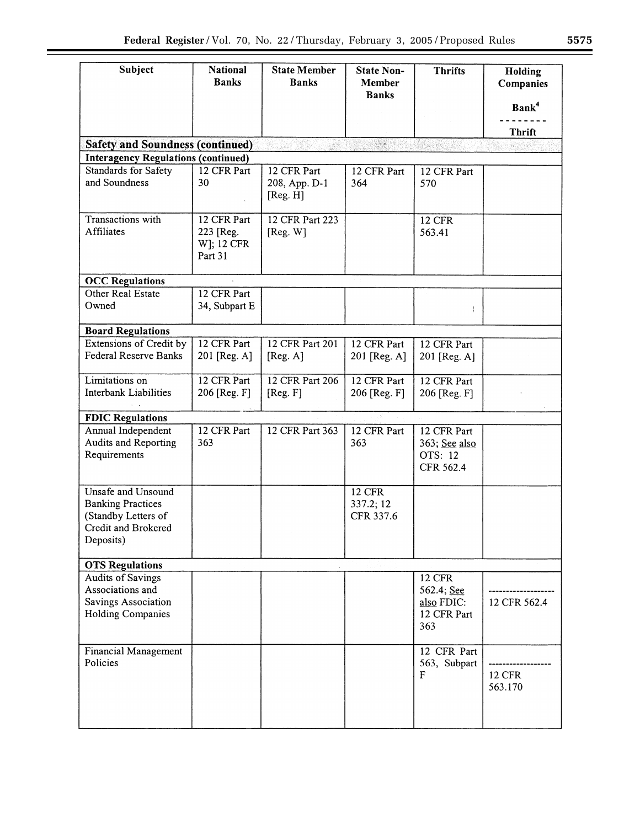| Subject                                                                                                   | <b>National</b><br><b>Banks</b>                   | <b>State Member</b><br><b>Banks</b>      | <b>State Non-</b><br><b>Member</b><br><b>Banks</b> | <b>Thrifts</b>                                                  | Holding<br>Companies<br>Bank <sup>4</sup> |  |
|-----------------------------------------------------------------------------------------------------------|---------------------------------------------------|------------------------------------------|----------------------------------------------------|-----------------------------------------------------------------|-------------------------------------------|--|
|                                                                                                           |                                                   |                                          |                                                    |                                                                 | <b>Thrift</b>                             |  |
| <b>Safety and Soundness (continued)</b>                                                                   |                                                   | ALAM SEBAG                               | SS.                                                |                                                                 |                                           |  |
| <b>Interagency Regulations (continued)</b>                                                                |                                                   |                                          |                                                    |                                                                 |                                           |  |
| Standards for Safety<br>and Soundness                                                                     | 12 CFR Part<br>30                                 | 12 CFR Part<br>208, App. D-1<br>[Reg. H] | 12 CFR Part<br>364                                 | 12 CFR Part<br>570                                              |                                           |  |
| Transactions with<br>Affiliates                                                                           | 12 CFR Part<br>223 [Reg.<br>W]; 12 CFR<br>Part 31 | 12 CFR Part 223<br>[Reg. W]              |                                                    | <b>12 CFR</b><br>563.41                                         |                                           |  |
| <b>OCC Regulations</b>                                                                                    |                                                   |                                          |                                                    |                                                                 |                                           |  |
| Other Real Estate<br>Owned                                                                                | 12 CFR Part<br>34, Subpart E                      |                                          |                                                    |                                                                 |                                           |  |
| <b>Board Regulations</b>                                                                                  |                                                   |                                          |                                                    |                                                                 |                                           |  |
| Extensions of Credit by<br><b>Federal Reserve Banks</b>                                                   | 12 CFR Part<br>201 [Reg. A]                       | 12 CFR Part 201<br>[Reg. A]              | 12 CFR Part<br>201 [Reg. A]                        | 12 CFR Part<br>201 [Reg. A]                                     |                                           |  |
| Limitations on<br>Interbank Liabilities                                                                   | 12 CFR Part<br>206 [Reg. F]                       | 12 CFR Part 206<br>[Reg. F]              | 12 CFR Part<br>206 [Reg. F]                        | 12 CFR Part<br>206 [Reg. F]                                     |                                           |  |
| <b>FDIC Regulations</b>                                                                                   |                                                   |                                          |                                                    |                                                                 |                                           |  |
| Annual Independent<br>Audits and Reporting<br>Requirements                                                | 12 CFR Part<br>363                                | 12 CFR Part 363                          | 12 CFR Part<br>363                                 | 12 CFR Part<br>363; See also<br>OTS: 12<br>CFR 562.4            |                                           |  |
| Unsafe and Unsound<br><b>Banking Practices</b><br>(Standby Letters of<br>Credit and Brokered<br>Deposits) |                                                   |                                          | <b>12 CFR</b><br>337.2; 12<br>CFR 337.6            |                                                                 |                                           |  |
| <b>OTS Regulations</b>                                                                                    |                                                   |                                          |                                                    |                                                                 |                                           |  |
| <b>Audits of Savings</b><br>Associations and<br>Savings Association<br>Holding Companies                  |                                                   |                                          |                                                    | <b>12 CFR</b><br>562.4; See<br>also FDIC:<br>12 CFR Part<br>363 | 12 CFR 562.4                              |  |
| Financial Management<br>Policies                                                                          |                                                   |                                          |                                                    | 12 CFR Part<br>563, Subpart<br>F                                | <b>12 CFR</b><br>563.170                  |  |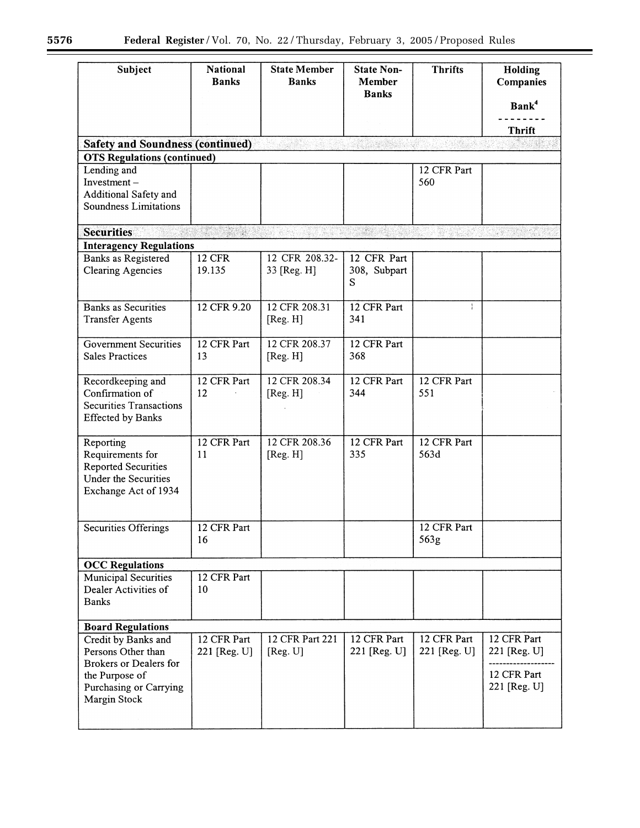$\equiv$ 

| Subject                                                                                                                                | <b>National</b><br><b>Banks</b> | <b>State Member</b><br><b>Banks</b> | <b>State Non-</b><br>Member<br><b>Banks</b> | <b>Thrifts</b>              | Holding<br><b>Companies</b><br>Bank <sup>4</sup><br><b>Thrift</b> |  |
|----------------------------------------------------------------------------------------------------------------------------------------|---------------------------------|-------------------------------------|---------------------------------------------|-----------------------------|-------------------------------------------------------------------|--|
| <b>Safety and Soundness (continued)</b>                                                                                                |                                 |                                     |                                             | 1690 S. Ma                  |                                                                   |  |
| <b>OTS Regulations (continued)</b>                                                                                                     |                                 |                                     |                                             |                             |                                                                   |  |
| Lending and<br>Investment $-$<br>Additional Safety and<br>Soundness Limitations                                                        |                                 |                                     |                                             | 12 CFR Part<br>560          |                                                                   |  |
| <b>Securities</b>                                                                                                                      |                                 |                                     | STEER HOUSE                                 |                             |                                                                   |  |
| <b>Interagency Regulations</b>                                                                                                         |                                 |                                     |                                             |                             |                                                                   |  |
| Banks as Registered<br><b>Clearing Agencies</b>                                                                                        | <b>12 CFR</b><br>19.135         | 12 CFR 208.32-<br>33 [Reg. H]       | 12 CFR Part<br>308, Subpart<br>S            |                             |                                                                   |  |
| <b>Banks as Securities</b>                                                                                                             | 12 CFR 9.20                     | 12 CFR 208.31                       | 12 CFR Part                                 | ÷                           |                                                                   |  |
| <b>Transfer Agents</b>                                                                                                                 |                                 | [Reg. H]                            | 341                                         |                             |                                                                   |  |
| <b>Government Securities</b><br><b>Sales Practices</b>                                                                                 | 12 CFR Part<br>13               | 12 CFR 208.37<br>[Reg. H]           | 12 CFR Part<br>368                          |                             |                                                                   |  |
| Recordkeeping and<br>Confirmation of<br><b>Securities Transactions</b><br><b>Effected by Banks</b>                                     | 12 CFR Part<br>12               | 12 CFR 208.34<br>[Reg. H]           | 12 CFR Part<br>344                          | 12 CFR Part<br>551          |                                                                   |  |
| Reporting<br>Requirements for<br><b>Reported Securities</b><br><b>Under the Securities</b><br>Exchange Act of 1934                     | 12 CFR Part<br>11               | 12 CFR 208.36<br>[Reg. H]           | 12 CFR Part<br>335                          | 12 CFR Part<br>563d         |                                                                   |  |
| Securities Offerings                                                                                                                   | 12 CFR Part<br>16               |                                     |                                             | 12 CFR Part<br>563g         |                                                                   |  |
| <b>OCC Regulations</b>                                                                                                                 |                                 |                                     |                                             |                             |                                                                   |  |
| <b>Municipal Securities</b><br>Dealer Activities of<br><b>Banks</b>                                                                    | 12 CFR Part<br>10               |                                     |                                             |                             |                                                                   |  |
| <b>Board Regulations</b>                                                                                                               |                                 |                                     |                                             |                             |                                                                   |  |
| Credit by Banks and<br>Persons Other than<br><b>Brokers or Dealers for</b><br>the Purpose of<br>Purchasing or Carrying<br>Margin Stock | 12 CFR Part<br>221 [Reg. U]     | 12 CFR Part 221<br>[Reg. U]         | 12 CFR Part<br>221 [Reg. U]                 | 12 CFR Part<br>221 [Reg. U] | 12 CFR Part<br>221 [Reg. U]<br>12 CFR Part<br>221 [Reg. U]        |  |
|                                                                                                                                        |                                 |                                     |                                             |                             |                                                                   |  |